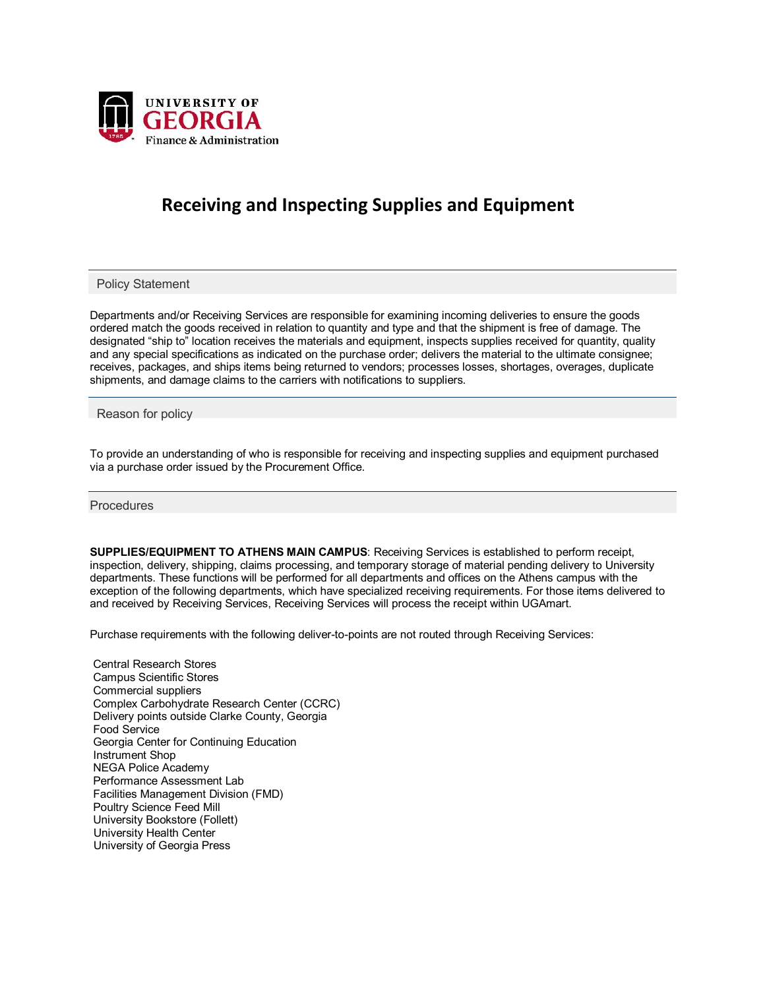

## **Receiving and Inspecting Supplies and Equipment**

Policy Statement

Departments and/or Receiving Services are responsible for examining incoming deliveries to ensure the goods ordered match the goods received in relation to quantity and type and that the shipment is free of damage. The designated "ship to" location receives the materials and equipment, inspects supplies received for quantity, quality and any special specifications as indicated on the purchase order; delivers the material to the ultimate consignee; receives, packages, and ships items being returned to vendors; processes losses, shortages, overages, duplicate shipments, and damage claims to the carriers with notifications to suppliers.

Reason for policy

To provide an understanding of who is responsible for receiving and inspecting supplies and equipment purchased via a purchase order issued by the Procurement Office.

**Procedures** 

**SUPPLIES/EQUIPMENT TO ATHENS MAIN CAMPUS**: Receiving Services is established to perform receipt, inspection, delivery, shipping, claims processing, and temporary storage of material pending delivery to University departments. These functions will be performed for all departments and offices on the Athens campus with the exception of the following departments, which have specialized receiving requirements. For those items delivered to and received by Receiving Services, Receiving Services will process the receipt within UGAmart.

Purchase requirements with the following deliver-to-points are not routed through Receiving Services:

Central Research Stores Campus Scientific Stores Commercial suppliers Complex Carbohydrate Research Center (CCRC) Delivery points outside Clarke County, Georgia Food Service Georgia Center for Continuing Education Instrument Shop NEGA Police Academy Performance Assessment Lab Facilities Management Division (FMD) Poultry Science Feed Mill University Bookstore (Follett) University Health Center University of Georgia Press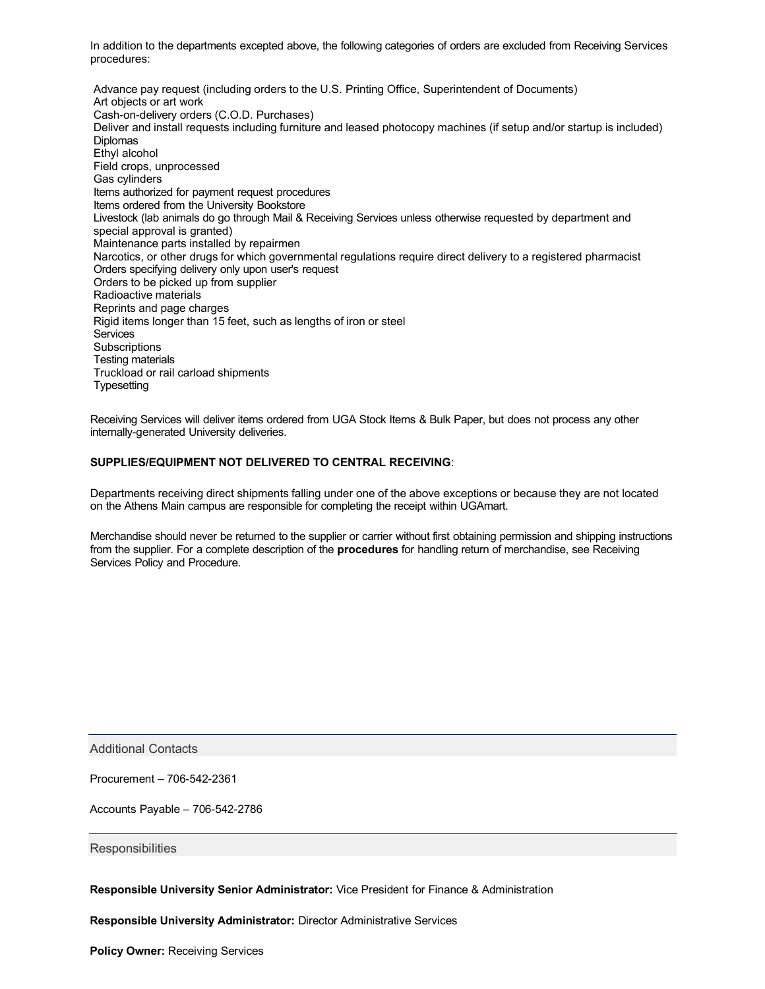In addition to the departments excepted above, the following categories of orders are excluded from Receiving Services procedures:

Advance pay request (including orders to the U.S. Printing Office, Superintendent of Documents) Art objects or art work Cash-on-delivery orders (C.O.D. Purchases) Deliver and install requests including furniture and leased photocopy machines (if setup and/or startup is included) **Diplomas** Ethyl alcohol Field crops, unprocessed Gas cylinders Items authorized for payment request procedures Items ordered from the University Bookstore Livestock (lab animals do go through Mail & Receiving Services unless otherwise requested by department and special approval is granted) Maintenance parts installed by repairmen Narcotics, or other drugs for which governmental regulations require direct delivery to a registered pharmacist Orders specifying delivery only upon user's request Orders to be picked up from supplier Radioactive materials Reprints and page charges Rigid items longer than 15 feet, such as lengths of iron or steel **Services Subscriptions** Testing materials Truckload or rail carload shipments Typesetting

Receiving Services will deliver items ordered from UGA Stock Items & Bulk Paper, but does not process any other internally-generated University deliveries.

## **SUPPLIES/EQUIPMENT NOT DELIVERED TO CENTRAL RECEIVING**:

Departments receiving direct shipments falling under one of the above exceptions or because they are not located on the Athens Main campus are responsible for completing the receipt within UGAmart.

Merchandise should never be returned to the supplier or carrier without first obtaining permission and shipping instructions from the supplier. For a complete description of the **procedures** for handling return of merchandise, see Receiving Services Policy and Procedure.

Additional Contacts

Procurement – 706-542-2361

Accounts Payable – 706-542-2786

**Responsibilities** 

**Responsible University Senior Administrator:** Vice President for Finance & Administration

**Responsible University Administrator:** Director Administrative Services

**Policy Owner: Receiving Services**